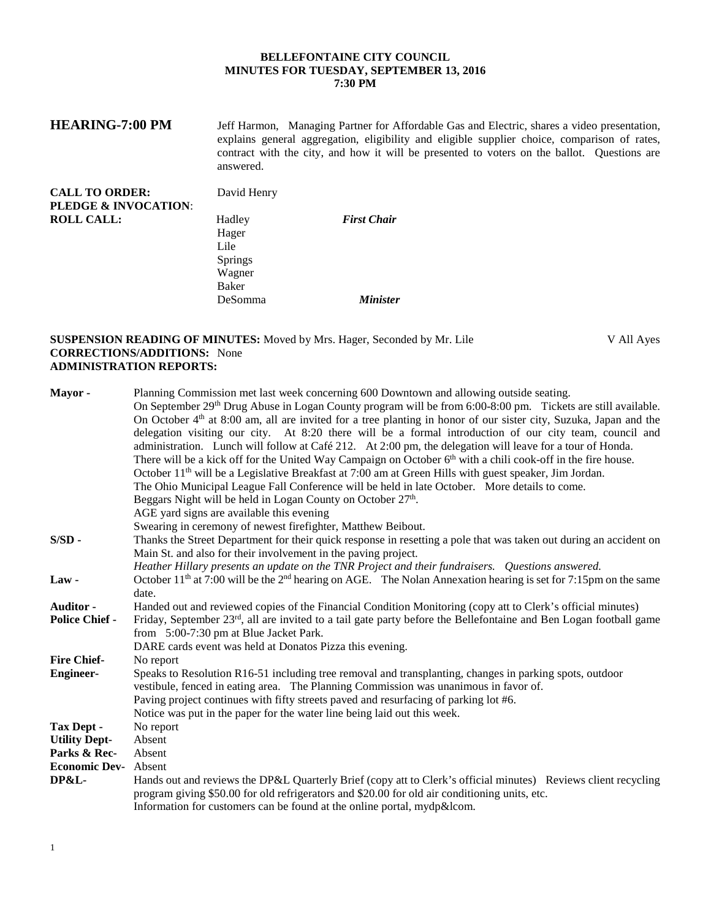## **BELLEFONTAINE CITY COUNCIL MINUTES FOR TUESDAY, SEPTEMBER 13, 2016 7:30 PM**

| <b>HEARING-7:00 PM</b>                                   | Jeff Harmon, Managing Partner for Affordable Gas and Electric, shares a video presentation,<br>explains general aggregation, eligibility and eligible supplier choice, comparison of rates,<br>contract with the city, and how it will be presented to voters on the ballot. Questions are<br>answered. |                    |  |  |
|----------------------------------------------------------|---------------------------------------------------------------------------------------------------------------------------------------------------------------------------------------------------------------------------------------------------------------------------------------------------------|--------------------|--|--|
| <b>CALL TO ORDER:</b><br><b>PLEDGE &amp; INVOCATION:</b> | David Henry                                                                                                                                                                                                                                                                                             |                    |  |  |
| <b>ROLL CALL:</b>                                        | Hadley                                                                                                                                                                                                                                                                                                  | <b>First Chair</b> |  |  |
|                                                          | Hager                                                                                                                                                                                                                                                                                                   |                    |  |  |
|                                                          | Lile                                                                                                                                                                                                                                                                                                    |                    |  |  |
|                                                          | <b>Springs</b>                                                                                                                                                                                                                                                                                          |                    |  |  |
|                                                          | Wagner                                                                                                                                                                                                                                                                                                  |                    |  |  |
|                                                          | Baker                                                                                                                                                                                                                                                                                                   |                    |  |  |
|                                                          | DeSomma                                                                                                                                                                                                                                                                                                 | <b>Minister</b>    |  |  |

### **SUSPENSION READING OF MINUTES:** Moved by Mrs. Hager, Seconded by Mr. Lile V All Ayes **CORRECTIONS/ADDITIONS:** None **ADMINISTRATION REPORTS:**

| Mayor-                      | Planning Commission met last week concerning 600 Downtown and allowing outside seating.                                       |  |  |  |
|-----------------------------|-------------------------------------------------------------------------------------------------------------------------------|--|--|--|
|                             | On September 29 <sup>th</sup> Drug Abuse in Logan County program will be from 6:00-8:00 pm. Tickets are still available.      |  |  |  |
|                             | On October $4th$ at 8:00 am, all are invited for a tree planting in honor of our sister city, Suzuka, Japan and the           |  |  |  |
|                             | delegation visiting our city. At 8:20 there will be a formal introduction of our city team, council and                       |  |  |  |
|                             | administration. Lunch will follow at Café 212. At 2:00 pm, the delegation will leave for a tour of Honda.                     |  |  |  |
|                             | There will be a kick off for the United Way Campaign on October 6 <sup>th</sup> with a chili cook-off in the fire house.      |  |  |  |
|                             | October 11 <sup>th</sup> will be a Legislative Breakfast at 7:00 am at Green Hills with guest speaker, Jim Jordan.            |  |  |  |
|                             | The Ohio Municipal League Fall Conference will be held in late October. More details to come.                                 |  |  |  |
|                             | Beggars Night will be held in Logan County on October 27 <sup>th</sup> .                                                      |  |  |  |
|                             | AGE yard signs are available this evening                                                                                     |  |  |  |
|                             | Swearing in ceremony of newest firefighter, Matthew Beibout.                                                                  |  |  |  |
| $S/SD$ -                    | Thanks the Street Department for their quick response in resetting a pole that was taken out during an accident on            |  |  |  |
|                             | Main St. and also for their involvement in the paving project.                                                                |  |  |  |
|                             | Heather Hillary presents an update on the TNR Project and their fundraisers. Questions answered.                              |  |  |  |
| Law-                        | October $11th$ at 7:00 will be the 2 <sup>nd</sup> hearing on AGE. The Nolan Annexation hearing is set for 7:15pm on the same |  |  |  |
|                             | date.                                                                                                                         |  |  |  |
| Auditor -                   | Handed out and reviewed copies of the Financial Condition Monitoring (copy att to Clerk's official minutes)                   |  |  |  |
| <b>Police Chief -</b>       | Friday, September 23rd, all are invited to a tail gate party before the Bellefontaine and Ben Logan football game             |  |  |  |
|                             | from 5:00-7:30 pm at Blue Jacket Park.                                                                                        |  |  |  |
|                             | DARE cards event was held at Donatos Pizza this evening.                                                                      |  |  |  |
| <b>Fire Chief-</b>          | No report                                                                                                                     |  |  |  |
| <b>Engineer-</b>            | Speaks to Resolution R16-51 including tree removal and transplanting, changes in parking spots, outdoor                       |  |  |  |
|                             | vestibule, fenced in eating area. The Planning Commission was unanimous in favor of.                                          |  |  |  |
|                             | Paving project continues with fifty streets paved and resurfacing of parking lot #6.                                          |  |  |  |
|                             | Notice was put in the paper for the water line being laid out this week.                                                      |  |  |  |
| Tax Dept -                  | No report                                                                                                                     |  |  |  |
| <b>Utility Dept-</b>        | Absent                                                                                                                        |  |  |  |
| Parks & Rec-                | Absent                                                                                                                        |  |  |  |
| <b>Economic Dev-</b> Absent |                                                                                                                               |  |  |  |
| <b>DP&amp;L-</b>            | Hands out and reviews the DP&L Quarterly Brief (copy att to Clerk's official minutes) Reviews client recycling                |  |  |  |
|                             | program giving \$50.00 for old refrigerators and \$20.00 for old air conditioning units, etc.                                 |  |  |  |
|                             | Information for customers can be found at the online portal, mydp&lcom.                                                       |  |  |  |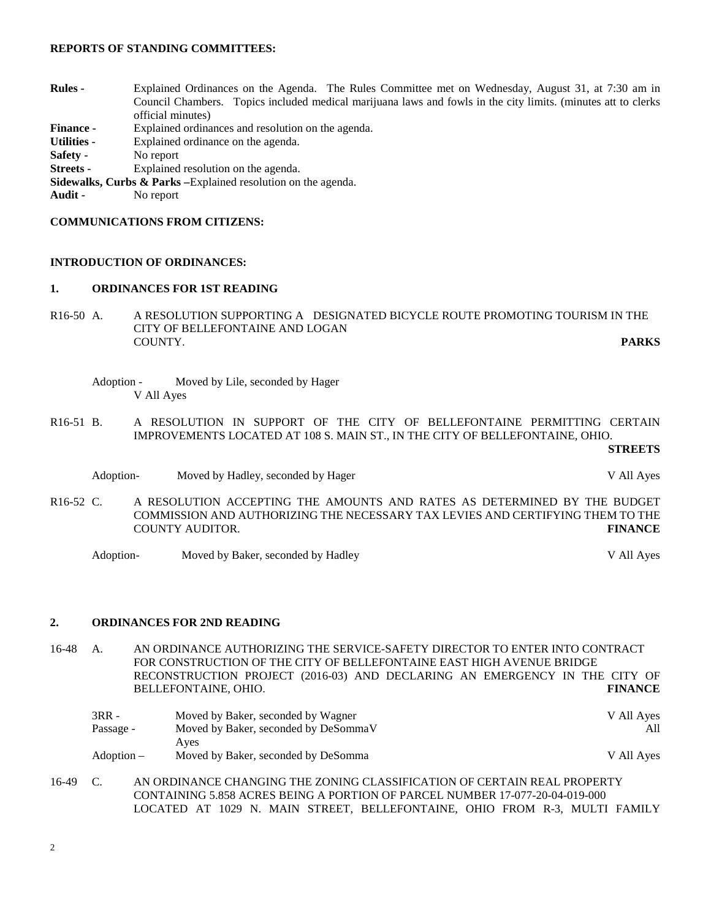### **REPORTS OF STANDING COMMITTEES:**

| <b>Rules</b> -                                                            | Explained Ordinances on the Agenda. The Rules Committee met on Wednesday, August 31, at 7:30 am in            |  |  |  |
|---------------------------------------------------------------------------|---------------------------------------------------------------------------------------------------------------|--|--|--|
|                                                                           | Council Chambers. Topics included medical marijuana laws and fowls in the city limits. (minutes att to clerks |  |  |  |
|                                                                           | official minutes)                                                                                             |  |  |  |
| <b>Finance -</b>                                                          | Explained ordinances and resolution on the agenda.                                                            |  |  |  |
| <b>Utilities -</b>                                                        | Explained ordinance on the agenda.                                                                            |  |  |  |
| Safety -                                                                  | No report                                                                                                     |  |  |  |
| <b>Streets</b> -                                                          | Explained resolution on the agenda.                                                                           |  |  |  |
| <b>Sidewalks, Curbs &amp; Parks</b> – Explained resolution on the agenda. |                                                                                                               |  |  |  |
| Audit -                                                                   | No report                                                                                                     |  |  |  |
|                                                                           |                                                                                                               |  |  |  |

## **COMMUNICATIONS FROM CITIZENS:**

# **INTRODUCTION OF ORDINANCES:**

### **1. ORDINANCES FOR 1ST READING**

- R16-50 A. A RESOLUTION SUPPORTING A DESIGNATED BICYCLE ROUTE PROMOTING TOURISM IN THE CITY OF BELLEFONTAINE AND LOGAN COUNTY COUNTY. **PARKS**
	- Adoption Moved by Lile, seconded by Hager V All Ayes
- R16-51 B. A RESOLUTION IN SUPPORT OF THE CITY OF BELLEFONTAINE PERMITTING CERTAIN IMPROVEMENTS LOCATED AT 108 S. MAIN ST., IN THE CITY OF BELLEFONTAINE, OHIO.

**STREETS**

- Adoption- Moved by Hadley, seconded by Hager V All Ayes
- R16-52 C. A RESOLUTION ACCEPTING THE AMOUNTS AND RATES AS DETERMINED BY THE BUDGET COMMISSION AND AUTHORIZING THE NECESSARY TAX LEVIES AND CERTIFYING THEM TO THE COUNTY AUDITOR. **FINANCE**

Adoption- Moved by Baker, seconded by Hadley V All Ayes

# **2. ORDINANCES FOR 2ND READING**

16-48 A. AN ORDINANCE AUTHORIZING THE SERVICE-SAFETY DIRECTOR TO ENTER INTO CONTRACT FOR CONSTRUCTION OF THE CITY OF BELLEFONTAINE EAST HIGH AVENUE BRIDGE RECONSTRUCTION PROJECT (2016-03) AND DECLARING AN EMERGENCY IN THE CITY OF BELLEFONTAINE, OHIO. **FINANCE**

| 3RR -      | Moved by Baker, seconded by Wagner   | V All Ayes |
|------------|--------------------------------------|------------|
| Passage -  | Moved by Baker, seconded by DeSommaV | All        |
|            | Aves                                 |            |
| Adoption – | Moved by Baker, seconded by DeSomma  | V All Aves |

16-49 C. AN ORDINANCE CHANGING THE ZONING CLASSIFICATION OF CERTAIN REAL PROPERTY CONTAINING 5.858 ACRES BEING A PORTION OF PARCEL NUMBER 17-077-20-04-019-000 LOCATED AT 1029 N. MAIN STREET, BELLEFONTAINE, OHIO FROM R-3, MULTI FAMILY